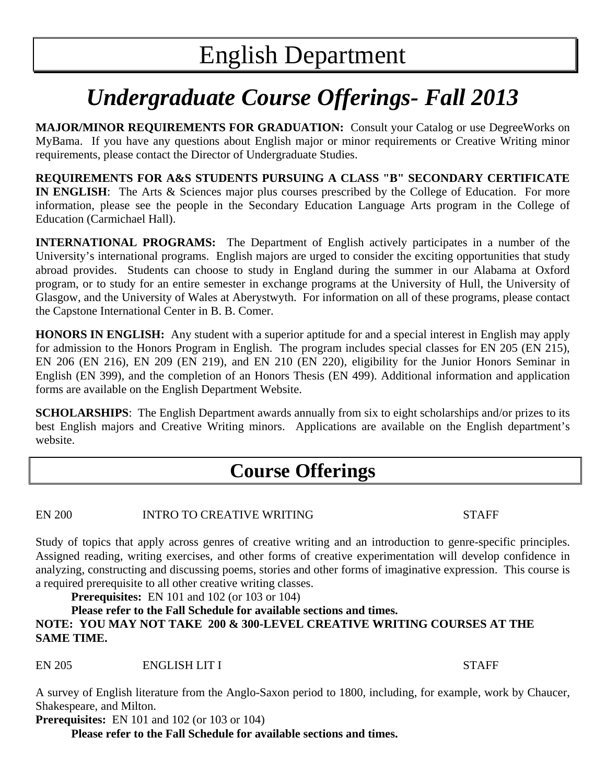# *Undergraduate Course Offerings- Fall 2013*

**MAJOR/MINOR REQUIREMENTS FOR GRADUATION:** Consult your Catalog or use DegreeWorks on MyBama. If you have any questions about English major or minor requirements or Creative Writing minor requirements, please contact the Director of Undergraduate Studies.

**REQUIREMENTS FOR A&S STUDENTS PURSUING A CLASS "B" SECONDARY CERTIFICATE IN ENGLISH**: The Arts & Sciences major plus courses prescribed by the College of Education. For more information, please see the people in the Secondary Education Language Arts program in the College of Education (Carmichael Hall).

**INTERNATIONAL PROGRAMS:** The Department of English actively participates in a number of the University's international programs. English majors are urged to consider the exciting opportunities that study abroad provides. Students can choose to study in England during the summer in our Alabama at Oxford program, or to study for an entire semester in exchange programs at the University of Hull, the University of Glasgow, and the University of Wales at Aberystwyth. For information on all of these programs, please contact the Capstone International Center in B. B. Comer.

**HONORS IN ENGLISH:** Any student with a superior aptitude for and a special interest in English may apply for admission to the Honors Program in English. The program includes special classes for EN 205 (EN 215), EN 206 (EN 216), EN 209 (EN 219), and EN 210 (EN 220), eligibility for the Junior Honors Seminar in English (EN 399), and the completion of an Honors Thesis (EN 499). Additional information and application forms are available on the English Department Website.

**SCHOLARSHIPS**: The English Department awards annually from six to eight scholarships and/or prizes to its best English majors and Creative Writing minors. Applications are available on the English department's website.

## **Course Offerings**

EN 200 INTRO TO CREATIVE WRITING STAFF

Study of topics that apply across genres of creative writing and an introduction to genre-specific principles. Assigned reading, writing exercises, and other forms of creative experimentation will develop confidence in analyzing, constructing and discussing poems, stories and other forms of imaginative expression. This course is a required prerequisite to all other creative writing classes.

**Prerequisites:** EN 101 and 102 (or 103 or 104)

#### **Please refer to the Fall Schedule for available sections and times. NOTE: YOU MAY NOT TAKE 200 & 300-LEVEL CREATIVE WRITING COURSES AT THE SAME TIME.**

EN 205 ENGLISH LIT I STAFF

A survey of English literature from the Anglo-Saxon period to 1800, including, for example, work by Chaucer, Shakespeare, and Milton.

**Prerequisites:** EN 101 and 102 (or 103 or 104)

**Please refer to the Fall Schedule for available sections and times.**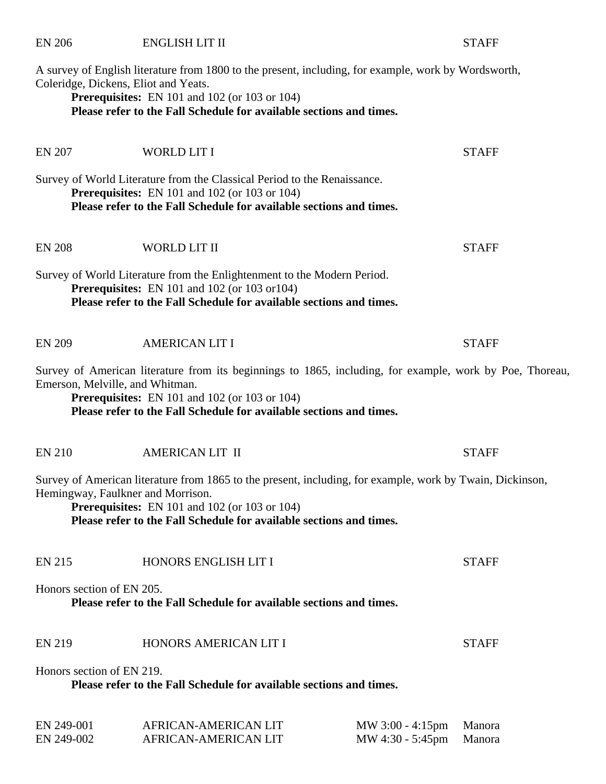Coleridge, Dickens, Eliot and Yeats. **Prerequisites:** EN 101 and 102 (or 103 or 104) **Please refer to the Fall Schedule for available sections and times.**  EN 207 WORLD LIT I STAFF Survey of World Literature from the Classical Period to the Renaissance. **Prerequisites:** EN 101 and 102 (or 103 or 104) **Please refer to the Fall Schedule for available sections and times.**  EN 208 WORLD LIT II STAFF Survey of World Literature from the Enlightenment to the Modern Period. **Prerequisites:** EN 101 and 102 (or 103 or104) **Please refer to the Fall Schedule for available sections and times.**  EN 209 AMERICAN LIT I STAFF Survey of American literature from its beginnings to 1865, including, for example, work by Poe, Thoreau, Emerson, Melville, and Whitman. **Prerequisites:** EN 101 and 102 (or 103 or 104) **Please refer to the Fall Schedule for available sections and times.**  EN 210 AMERICAN LIT II STAFF Survey of American literature from 1865 to the present, including, for example, work by Twain, Dickinson, Hemingway, Faulkner and Morrison. **Prerequisites:** EN 101 and 102 (or 103 or 104) **Please refer to the Fall Schedule for available sections and times.**  EN 215 HONORS ENGLISH LIT I STAFF Honors section of EN 205. **Please refer to the Fall Schedule for available sections and times.** 

A survey of English literature from 1800 to the present, including, for example, work by Wordsworth,

Honors section of EN 219.

**Please refer to the Fall Schedule for available sections and times.** 

| EN 249-001 | AFRICAN-AMERICAN LIT | MW $3:00 - 4:15$ pm Manora |  |
|------------|----------------------|----------------------------|--|
| EN 249-002 | AFRICAN-AMERICAN LIT | MW 4:30 - 5:45pm Manora    |  |

EN 219 HONORS AMERICAN LIT I STAFF

### EN 206 ENGLISH LIT II STAFF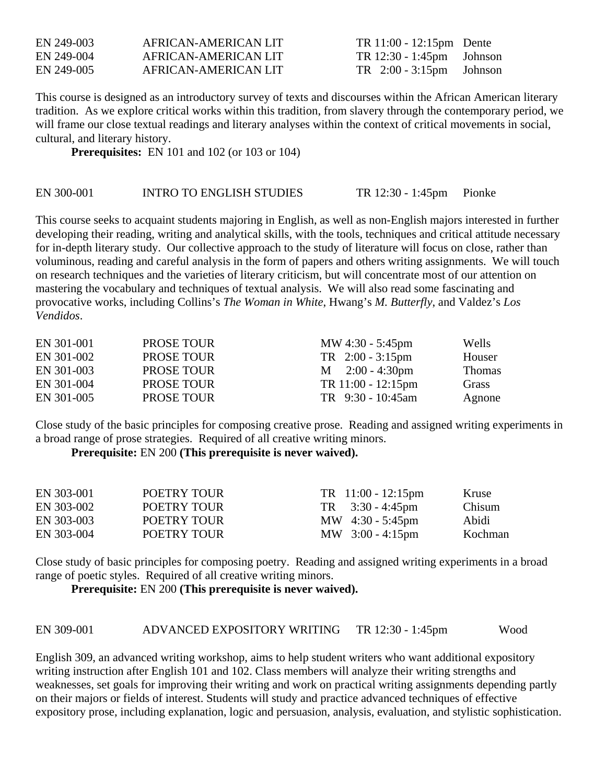| EN 249-003 | AFRICAN-AMERICAN LIT | TR 11:00 - 12:15pm Dente            |  |
|------------|----------------------|-------------------------------------|--|
| EN 249-004 | AFRICAN-AMERICAN LIT | $TR 12:30 - 1:45 \text{pm}$ Johnson |  |
| EN 249-005 | AFRICAN-AMERICAN LIT | $TR$ 2:00 - 3:15pm Johnson          |  |

This course is designed as an introductory survey of texts and discourses within the African American literary tradition. As we explore critical works within this tradition, from slavery through the contemporary period, we will frame our close textual readings and literary analyses within the context of critical movements in social, cultural, and literary history.

**Prerequisites:** EN 101 and 102 (or 103 or 104)

#### EN 300-001 INTRO TO ENGLISH STUDIES TR 12:30 - 1:45pm Pionke

This course seeks to acquaint students majoring in English, as well as non-English majors interested in further developing their reading, writing and analytical skills, with the tools, techniques and critical attitude necessary for in-depth literary study. Our collective approach to the study of literature will focus on close, rather than voluminous, reading and careful analysis in the form of papers and others writing assignments. We will touch on research techniques and the varieties of literary criticism, but will concentrate most of our attention on mastering the vocabulary and techniques of textual analysis. We will also read some fascinating and provocative works, including Collins's *The Woman in White*, Hwang's *M. Butterfly*, and Valdez's *Los Vendidos*.

| EN 301-001 | <b>PROSE TOUR</b> | MW $4:30 - 5:45$ pm         | Wells         |
|------------|-------------------|-----------------------------|---------------|
| EN 301-002 | <b>PROSE TOUR</b> | $TR$ 2:00 - 3:15pm          | Houser        |
| EN 301-003 | <b>PROSE TOUR</b> | $M = 2:00 - 4:30 \text{pm}$ | <b>Thomas</b> |
| EN 301-004 | <b>PROSE TOUR</b> | TR 11:00 - 12:15pm          | Grass         |
| EN 301-005 | <b>PROSE TOUR</b> | TR 9:30 - 10:45am           | Agnone        |

Close study of the basic principles for composing creative prose. Reading and assigned writing experiments in a broad range of prose strategies. Required of all creative writing minors.

### **Prerequisite:** EN 200 **(This prerequisite is never waived).**

| EN 303-001 | POETRY TOUR | $TR$ 11:00 - 12:15pm             | Kruse         |
|------------|-------------|----------------------------------|---------------|
| EN 303-002 | POETRY TOUR | $TR \quad 3:30 - 4:45 \text{pm}$ | <b>Chisum</b> |
| EN 303-003 | POETRY TOUR | MW $4:30 - 5:45 \text{pm}$       | Abidi         |
| EN 303-004 | POETRY TOUR | MW $3:00 - 4:15 \text{pm}$       | Kochman       |

Close study of basic principles for composing poetry. Reading and assigned writing experiments in a broad range of poetic styles. Required of all creative writing minors.

**Prerequisite:** EN 200 **(This prerequisite is never waived).** 

| EN 309-001 | ADVANCED EXPOSITORY WRITING TR 12:30 - 1:45pm | Wood |
|------------|-----------------------------------------------|------|
|            |                                               |      |

English 309, an advanced writing workshop, aims to help student writers who want additional expository writing instruction after English 101 and 102. Class members will analyze their writing strengths and weaknesses, set goals for improving their writing and work on practical writing assignments depending partly on their majors or fields of interest. Students will study and practice advanced techniques of effective expository prose, including explanation, logic and persuasion, analysis, evaluation, and stylistic sophistication.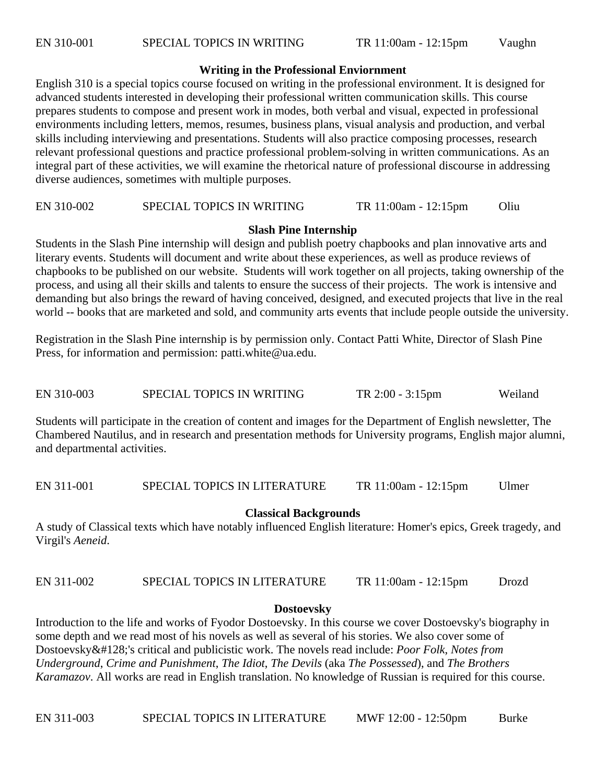#### **Writing in the Professional Enviornment**

English 310 is a special topics course focused on writing in the professional environment. It is designed for advanced students interested in developing their professional written communication skills. This course prepares students to compose and present work in modes, both verbal and visual, expected in professional environments including letters, memos, resumes, business plans, visual analysis and production, and verbal skills including interviewing and presentations. Students will also practice composing processes, research relevant professional questions and practice professional problem-solving in written communications. As an integral part of these activities, we will examine the rhetorical nature of professional discourse in addressing diverse audiences, sometimes with multiple purposes.

#### EN 310-002 SPECIAL TOPICS IN WRITING TR 11:00am - 12:15pm Oliu

#### **Slash Pine Internship**

Students in the Slash Pine internship will design and publish poetry chapbooks and plan innovative arts and literary events. Students will document and write about these experiences, as well as produce reviews of chapbooks to be published on our website. Students will work together on all projects, taking ownership of the process, and using all their skills and talents to ensure the success of their projects. The work is intensive and demanding but also brings the reward of having conceived, designed, and executed projects that live in the real world -- books that are marketed and sold, and community arts events that include people outside the university.

Registration in the Slash Pine internship is by permission only. Contact Patti White, Director of Slash Pine Press, for information and permission: patti.white@ua.edu.

EN 310-003 SPECIAL TOPICS IN WRITING TR 2:00 - 3:15pm Weiland

Students will participate in the creation of content and images for the Department of English newsletter, The Chambered Nautilus, and in research and presentation methods for University programs, English major alumni, and departmental activities.

EN 311-001 SPECIAL TOPICS IN LITERATURE TR 11:00am - 12:15pm Ulmer

#### **Classical Backgrounds**

A study of Classical texts which have notably influenced English literature: Homer's epics, Greek tragedy, and Virgil's *Aeneid*.

### EN 311-002 SPECIAL TOPICS IN LITERATURE TR 11:00am - 12:15pm Drozd

#### **Dostoevsky**

Introduction to the life and works of Fyodor Dostoevsky. In this course we cover Dostoevsky's biography in some depth and we read most of his novels as well as several of his stories. We also cover some of Dostoevsky€'s critical and publicistic work. The novels read include: *Poor Folk*, *Notes from Underground*, *Crime and Punishment*, *The Idiot*, *The Devils* (aka *The Possessed*), and *The Brothers Karamazov*. All works are read in English translation. No knowledge of Russian is required for this course.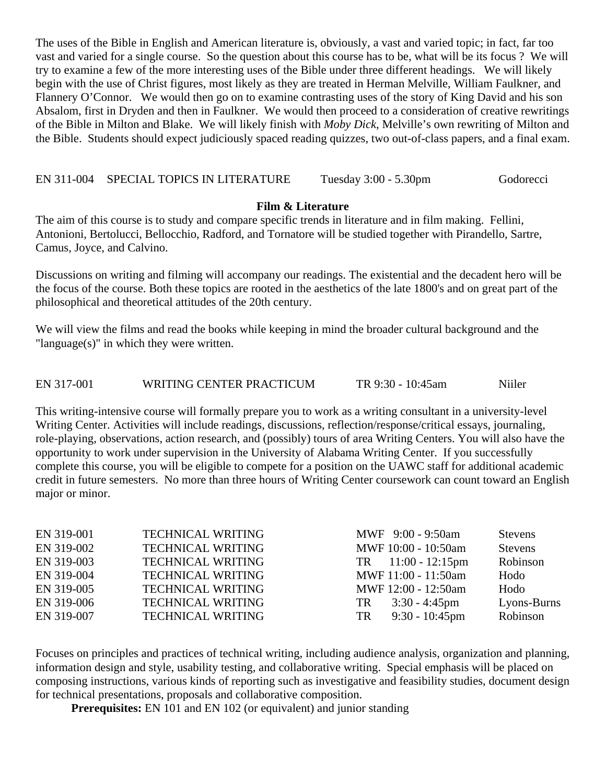The uses of the Bible in English and American literature is, obviously, a vast and varied topic; in fact, far too vast and varied for a single course. So the question about this course has to be, what will be its focus ? We will try to examine a few of the more interesting uses of the Bible under three different headings. We will likely begin with the use of Christ figures, most likely as they are treated in Herman Melville, William Faulkner, and Flannery O'Connor. We would then go on to examine contrasting uses of the story of King David and his son Absalom, first in Dryden and then in Faulkner. We would then proceed to a consideration of creative rewritings of the Bible in Milton and Blake. We will likely finish with *Moby Dick*, Melville's own rewriting of Milton and the Bible. Students should expect judiciously spaced reading quizzes, two out-of-class papers, and a final exam.

EN 311-004 SPECIAL TOPICS IN LITERATURE Tuesday 3:00 - 5.30pm Godorecci

#### **Film & Literature**

The aim of this course is to study and compare specific trends in literature and in film making. Fellini, Antonioni, Bertolucci, Bellocchio, Radford, and Tornatore will be studied together with Pirandello, Sartre, Camus, Joyce, and Calvino.

Discussions on writing and filming will accompany our readings. The existential and the decadent hero will be the focus of the course. Both these topics are rooted in the aesthetics of the late 1800's and on great part of the philosophical and theoretical attitudes of the 20th century.

We will view the films and read the books while keeping in mind the broader cultural background and the "language(s)" in which they were written.

EN 317-001 WRITING CENTER PRACTICUM TR 9:30 - 10:45am Niiler

This writing-intensive course will formally prepare you to work as a writing consultant in a university-level Writing Center. Activities will include readings, discussions, reflection/response/critical essays, journaling, role-playing, observations, action research, and (possibly) tours of area Writing Centers. You will also have the opportunity to work under supervision in the University of Alabama Writing Center. If you successfully complete this course, you will be eligible to compete for a position on the UAWC staff for additional academic credit in future semesters. No more than three hours of Writing Center coursework can count toward an English major or minor.

| EN 319-001 | <b>TECHNICAL WRITING</b> |     | MWF 9:00 - 9:50am    | <b>Stevens</b> |
|------------|--------------------------|-----|----------------------|----------------|
| EN 319-002 | <b>TECHNICAL WRITING</b> |     | MWF 10:00 - 10:50am  | <b>Stevens</b> |
| EN 319-003 | <b>TECHNICAL WRITING</b> |     | $TR$ 11:00 - 12:15pm | Robinson       |
| EN 319-004 | <b>TECHNICAL WRITING</b> |     | MWF 11:00 - 11:50am  | Hodo           |
| EN 319-005 | <b>TECHNICAL WRITING</b> |     | MWF 12:00 - 12:50am  | Hodo           |
| EN 319-006 | <b>TECHNICAL WRITING</b> | TR  | $3:30 - 4:45$ pm     | Lyons-Burns    |
| EN 319-007 | <b>TECHNICAL WRITING</b> | TR. | $9:30 - 10:45$ pm    | Robinson       |

Focuses on principles and practices of technical writing, including audience analysis, organization and planning, information design and style, usability testing, and collaborative writing. Special emphasis will be placed on composing instructions, various kinds of reporting such as investigative and feasibility studies, document design for technical presentations, proposals and collaborative composition.

**Prerequisites:** EN 101 and EN 102 (or equivalent) and junior standing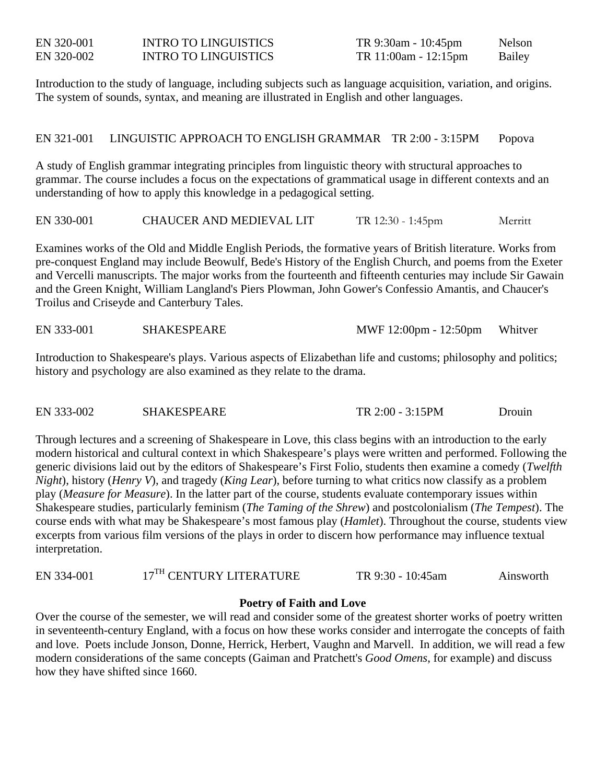| EN 320-001 | <b>INTRO TO LINGUISTICS</b> |
|------------|-----------------------------|
| EN 320-002 | INTRO TO LINGUISTICS        |

TR 9:30am - 10:45pm Nelson TR 11:00am - 12:15pm Bailey

Introduction to the study of language, including subjects such as language acquisition, variation, and origins. The system of sounds, syntax, and meaning are illustrated in English and other languages.

EN 321-001 LINGUISTIC APPROACH TO ENGLISH GRAMMAR TR 2:00 - 3:15PM Popova

A study of English grammar integrating principles from linguistic theory with structural approaches to grammar. The course includes a focus on the expectations of grammatical usage in different contexts and an understanding of how to apply this knowledge in a pedagogical setting.

EN 330-001 CHAUCER AND MEDIEVAL LIT TR 12:30 - 1:45pm Merritt

Examines works of the Old and Middle English Periods, the formative years of British literature. Works from pre-conquest England may include Beowulf, Bede's History of the English Church, and poems from the Exeter and Vercelli manuscripts. The major works from the fourteenth and fifteenth centuries may include Sir Gawain and the Green Knight, William Langland's Piers Plowman, John Gower's Confessio Amantis, and Chaucer's Troilus and Criseyde and Canterbury Tales.

EN 333-001 SHAKESPEARE MWF 12:00pm - 12:50pm Whitver

Introduction to Shakespeare's plays. Various aspects of Elizabethan life and customs; philosophy and politics; history and psychology are also examined as they relate to the drama.

EN 333-002 SHAKESPEARE TR 2:00 - 3:15PM Drouin

Through lectures and a screening of Shakespeare in Love, this class begins with an introduction to the early modern historical and cultural context in which Shakespeare's plays were written and performed. Following the generic divisions laid out by the editors of Shakespeare's First Folio, students then examine a comedy (*Twelfth Night*), history (*Henry V*), and tragedy (*King Lear*), before turning to what critics now classify as a problem play (*Measure for Measure*). In the latter part of the course, students evaluate contemporary issues within Shakespeare studies, particularly feminism (*The Taming of the Shrew*) and postcolonialism (*The Tempest*). The course ends with what may be Shakespeare's most famous play (*Hamlet*). Throughout the course, students view excerpts from various film versions of the plays in order to discern how performance may influence textual interpretation.

#### **Poetry of Faith and Love**

Over the course of the semester, we will read and consider some of the greatest shorter works of poetry written in seventeenth-century England, with a focus on how these works consider and interrogate the concepts of faith and love. Poets include Jonson, Donne, Herrick, Herbert, Vaughn and Marvell. In addition, we will read a few modern considerations of the same concepts (Gaiman and Pratchett's *Good Omens*, for example) and discuss how they have shifted since 1660.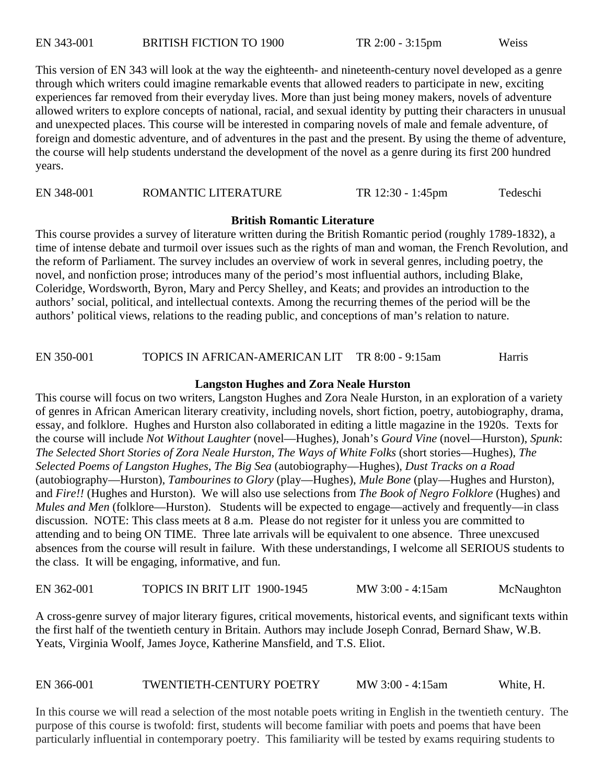This version of EN 343 will look at the way the eighteenth- and nineteenth-century novel developed as a genre through which writers could imagine remarkable events that allowed readers to participate in new, exciting experiences far removed from their everyday lives. More than just being money makers, novels of adventure allowed writers to explore concepts of national, racial, and sexual identity by putting their characters in unusual and unexpected places. This course will be interested in comparing novels of male and female adventure, of foreign and domestic adventure, and of adventures in the past and the present. By using the theme of adventure, the course will help students understand the development of the novel as a genre during its first 200 hundred years.

EN 348-001 ROMANTIC LITERATURE TR 12:30 - 1:45pm Tedeschi

#### **British Romantic Literature**

This course provides a survey of literature written during the British Romantic period (roughly 1789-1832), a time of intense debate and turmoil over issues such as the rights of man and woman, the French Revolution, and the reform of Parliament. The survey includes an overview of work in several genres, including poetry, the novel, and nonfiction prose; introduces many of the period's most influential authors, including Blake, Coleridge, Wordsworth, Byron, Mary and Percy Shelley, and Keats; and provides an introduction to the authors' social, political, and intellectual contexts. Among the recurring themes of the period will be the authors' political views, relations to the reading public, and conceptions of man's relation to nature.

EN 350-001 TOPICS IN AFRICAN-AMERICAN LIT TR 8:00 - 9:15am Harris

#### **Langston Hughes and Zora Neale Hurston**

This course will focus on two writers, Langston Hughes and Zora Neale Hurston, in an exploration of a variety of genres in African American literary creativity, including novels, short fiction, poetry, autobiography, drama, essay, and folklore. Hughes and Hurston also collaborated in editing a little magazine in the 1920s. Texts for the course will include *Not Without Laughter* (novel—Hughes), Jonah's *Gourd Vine* (novel—Hurston), *Spunk*: *The Selected Short Stories of Zora Neale Hurston*, *The Ways of White Folks* (short stories—Hughes), *The Selected Poems of Langston Hughes*, *The Big Sea* (autobiography—Hughes), *Dust Tracks on a Road* (autobiography—Hurston), *Tambourines to Glory* (play—Hughes), *Mule Bone* (play—Hughes and Hurston), and *Fire!!* (Hughes and Hurston). We will also use selections from *The Book of Negro Folklore* (Hughes) and *Mules and Men* (folklore—Hurston). Students will be expected to engage—actively and frequently—in class discussion. NOTE: This class meets at 8 a.m. Please do not register for it unless you are committed to attending and to being ON TIME. Three late arrivals will be equivalent to one absence. Three unexcused absences from the course will result in failure. With these understandings, I welcome all SERIOUS students to the class. It will be engaging, informative, and fun.

EN 362-001 TOPICS IN BRIT LIT 1900-1945 MW 3:00 - 4:15am McNaughton

A cross-genre survey of major literary figures, critical movements, historical events, and significant texts within the first half of the twentieth century in Britain. Authors may include Joseph Conrad, Bernard Shaw, W.B. Yeats, Virginia Woolf, James Joyce, Katherine Mansfield, and T.S. Eliot.

EN 366-001 TWENTIETH-CENTURY POETRY MW 3:00 - 4:15am White, H.

In this course we will read a selection of the most notable poets writing in English in the twentieth century. The purpose of this course is twofold: first, students will become familiar with poets and poems that have been particularly influential in contemporary poetry. This familiarity will be tested by exams requiring students to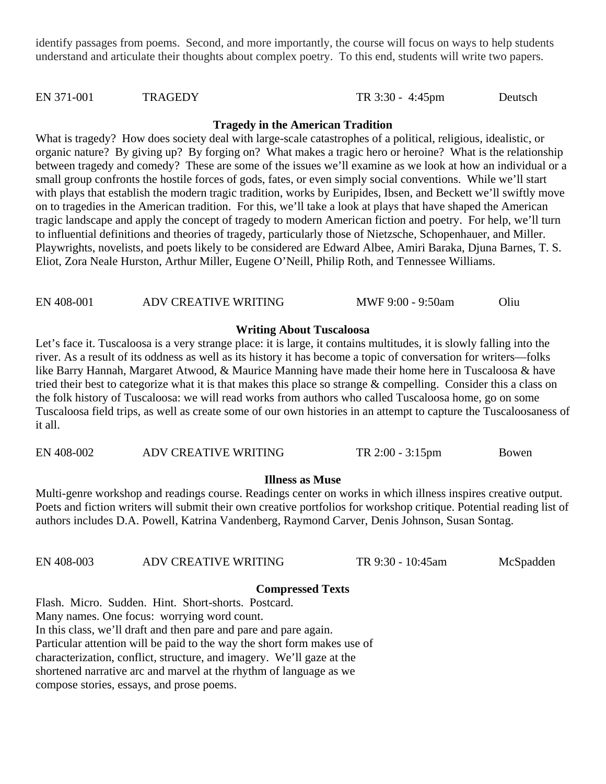identify passages from poems. Second, and more importantly, the course will focus on ways to help students understand and articulate their thoughts about complex poetry. To this end, students will write two papers.

#### EN 371-001 TRAGEDY TR 3:30 - 4:45pm Deutsch

#### **Tragedy in the American Tradition**

What is tragedy? How does society deal with large-scale catastrophes of a political, religious, idealistic, or organic nature? By giving up? By forging on? What makes a tragic hero or heroine? What is the relationship between tragedy and comedy? These are some of the issues we'll examine as we look at how an individual or a small group confronts the hostile forces of gods, fates, or even simply social conventions. While we'll start with plays that establish the modern tragic tradition, works by Euripides, Ibsen, and Beckett we'll swiftly move on to tragedies in the American tradition. For this, we'll take a look at plays that have shaped the American tragic landscape and apply the concept of tragedy to modern American fiction and poetry. For help, we'll turn to influential definitions and theories of tragedy, particularly those of Nietzsche, Schopenhauer, and Miller. Playwrights, novelists, and poets likely to be considered are Edward Albee, Amiri Baraka, Djuna Barnes, T. S. Eliot, Zora Neale Hurston, Arthur Miller, Eugene O'Neill, Philip Roth, and Tennessee Williams.

#### EN 408-001 ADV CREATIVE WRITING MWF 9:00 - 9:50am Oliu

#### **Writing About Tuscaloosa**

Let's face it. Tuscaloosa is a very strange place: it is large, it contains multitudes, it is slowly falling into the river. As a result of its oddness as well as its history it has become a topic of conversation for writers—folks like Barry Hannah, Margaret Atwood, & Maurice Manning have made their home here in Tuscaloosa & have tried their best to categorize what it is that makes this place so strange & compelling. Consider this a class on the folk history of Tuscaloosa: we will read works from authors who called Tuscaloosa home, go on some Tuscaloosa field trips, as well as create some of our own histories in an attempt to capture the Tuscaloosaness of it all.

EN 408-002 ADV CREATIVE WRITING TR 2:00 - 3:15pm Bowen

#### **Illness as Muse**

Multi-genre workshop and readings course. Readings center on works in which illness inspires creative output. Poets and fiction writers will submit their own creative portfolios for workshop critique. Potential reading list of authors includes D.A. Powell, Katrina Vandenberg, Raymond Carver, Denis Johnson, Susan Sontag.

| EN 408-003 | ADV CREATIVE WRITING | TR 9:30 - 10:45am | McSpadden |
|------------|----------------------|-------------------|-----------|
|------------|----------------------|-------------------|-----------|

### **Compressed Texts**

Flash. Micro. Sudden. Hint. Short-shorts. Postcard. Many names. One focus: worrying word count. In this class, we'll draft and then pare and pare and pare again. Particular attention will be paid to the way the short form makes use of characterization, conflict, structure, and imagery. We'll gaze at the shortened narrative arc and marvel at the rhythm of language as we compose stories, essays, and prose poems.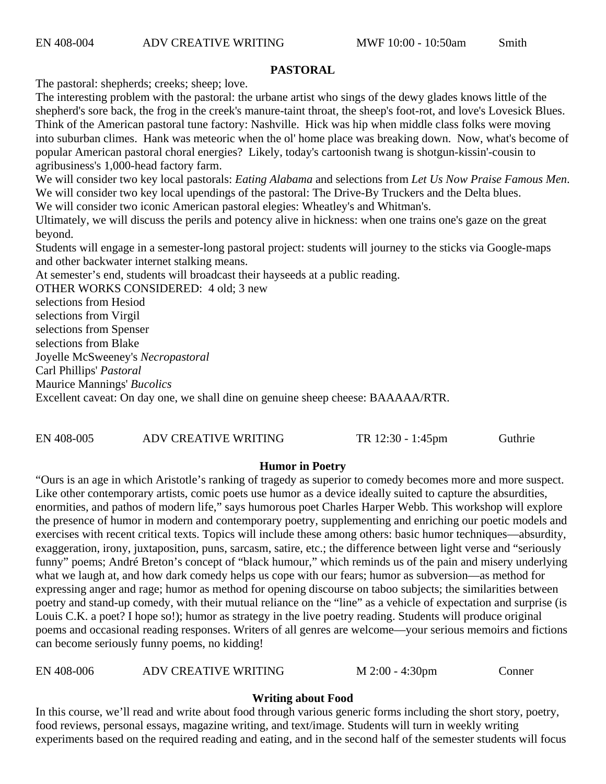#### **PASTORAL**

The pastoral: shepherds; creeks; sheep; love.

The interesting problem with the pastoral: the urbane artist who sings of the dewy glades knows little of the shepherd's sore back, the frog in the creek's manure-taint throat, the sheep's foot-rot, and love's Lovesick Blues. Think of the American pastoral tune factory: Nashville. Hick was hip when middle class folks were moving into suburban climes. Hank was meteoric when the ol' home place was breaking down. Now, what's become of popular American pastoral choral energies? Likely, today's cartoonish twang is shotgun-kissin'-cousin to agribusiness's 1,000-head factory farm.

We will consider two key local pastorals: *Eating Alabama* and selections from *Let Us Now Praise Famous Men*. We will consider two key local upendings of the pastoral: The Drive-By Truckers and the Delta blues.

We will consider two iconic American pastoral elegies: Wheatley's and Whitman's.

Ultimately, we will discuss the perils and potency alive in hickness: when one trains one's gaze on the great beyond.

Students will engage in a semester-long pastoral project: students will journey to the sticks via Google-maps and other backwater internet stalking means.

At semester's end, students will broadcast their hayseeds at a public reading.

OTHER WORKS CONSIDERED: 4 old; 3 new

selections from Hesiod

selections from Virgil

selections from Spenser

selections from Blake

Joyelle McSweeney's *Necropastoral* 

Carl Phillips' *Pastoral*

Maurice Mannings' *Bucolics*

Excellent caveat: On day one, we shall dine on genuine sheep cheese: BAAAAA/RTR.

EN 408-005 ADV CREATIVE WRITING TR 12:30 - 1:45pm Guthrie

#### **Humor in Poetry**

"Ours is an age in which Aristotle's ranking of tragedy as superior to comedy becomes more and more suspect. Like other contemporary artists, comic poets use humor as a device ideally suited to capture the absurdities, enormities, and pathos of modern life," says humorous poet Charles Harper Webb. This workshop will explore the presence of humor in modern and contemporary poetry, supplementing and enriching our poetic models and exercises with recent critical texts. Topics will include these among others: basic humor techniques—absurdity, exaggeration, irony, juxtaposition, puns, sarcasm, satire, etc.; the difference between light verse and "seriously funny" poems; André Breton's concept of "black humour," which reminds us of the pain and misery underlying what we laugh at, and how dark comedy helps us cope with our fears; humor as subversion—as method for expressing anger and rage; humor as method for opening discourse on taboo subjects; the similarities between poetry and stand-up comedy, with their mutual reliance on the "line" as a vehicle of expectation and surprise (is Louis C.K. a poet? I hope so!); humor as strategy in the live poetry reading. Students will produce original poems and occasional reading responses. Writers of all genres are welcome—your serious memoirs and fictions can become seriously funny poems, no kidding!

EN 408-006 ADV CREATIVE WRITING M 2:00 - 4:30pm Conner

#### **Writing about Food**

In this course, we'll read and write about food through various generic forms including the short story, poetry, food reviews, personal essays, magazine writing, and text/image. Students will turn in weekly writing experiments based on the required reading and eating, and in the second half of the semester students will focus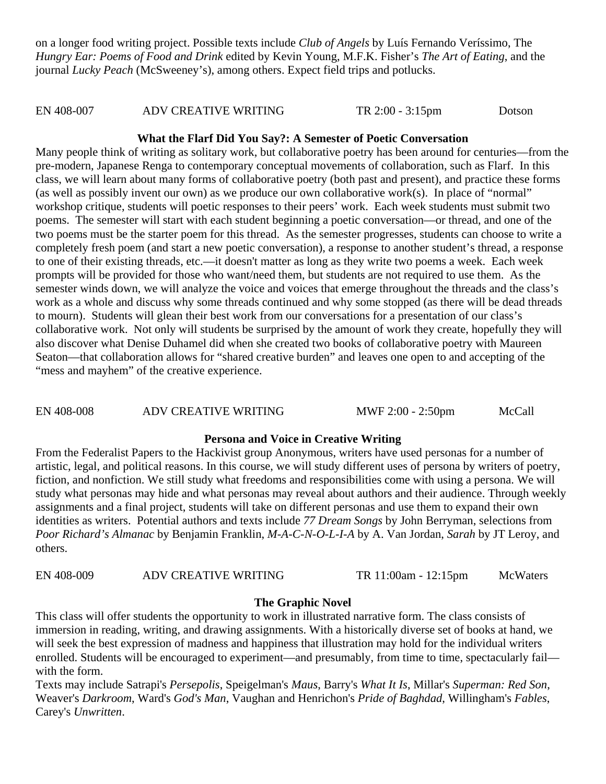on a longer food writing project. Possible texts include *Club of Angels* by Luís Fernando Veríssimo, The *Hungry Ear: Poems of Food and Drink* edited by Kevin Young, M.F.K. Fisher's *The Art of Eating*, and the journal *Lucky Peach* (McSweeney's), among others. Expect field trips and potlucks.

EN 408-007 ADV CREATIVE WRITING TR 2:00 - 3:15pm Dotson

#### **What the Flarf Did You Say?: A Semester of Poetic Conversation**

Many people think of writing as solitary work, but collaborative poetry has been around for centuries—from the pre-modern, Japanese Renga to contemporary conceptual movements of collaboration, such as Flarf. In this class, we will learn about many forms of collaborative poetry (both past and present), and practice these forms (as well as possibly invent our own) as we produce our own collaborative work(s). In place of "normal" workshop critique, students will poetic responses to their peers' work. Each week students must submit two poems. The semester will start with each student beginning a poetic conversation—or thread, and one of the two poems must be the starter poem for this thread. As the semester progresses, students can choose to write a completely fresh poem (and start a new poetic conversation), a response to another student's thread, a response to one of their existing threads, etc.—it doesn't matter as long as they write two poems a week. Each week prompts will be provided for those who want/need them, but students are not required to use them. As the semester winds down, we will analyze the voice and voices that emerge throughout the threads and the class's work as a whole and discuss why some threads continued and why some stopped (as there will be dead threads to mourn). Students will glean their best work from our conversations for a presentation of our class's collaborative work. Not only will students be surprised by the amount of work they create, hopefully they will also discover what Denise Duhamel did when she created two books of collaborative poetry with Maureen Seaton—that collaboration allows for "shared creative burden" and leaves one open to and accepting of the "mess and mayhem" of the creative experience.

EN 408-008 ADV CREATIVE WRITING MWF 2:00 - 2:50pm McCall

#### **Persona and Voice in Creative Writing**

From the Federalist Papers to the Hackivist group Anonymous, writers have used personas for a number of artistic, legal, and political reasons. In this course, we will study different uses of persona by writers of poetry, fiction, and nonfiction. We still study what freedoms and responsibilities come with using a persona. We will study what personas may hide and what personas may reveal about authors and their audience. Through weekly assignments and a final project, students will take on different personas and use them to expand their own identities as writers. Potential authors and texts include *77 Dream Songs* by John Berryman, selections from *Poor Richard's Almanac* by Benjamin Franklin, *M-A-C-N-O-L-I-A* by A. Van Jordan, *Sarah* by JT Leroy, and others.

EN 408-009 ADV CREATIVE WRITING TR 11:00am - 12:15pm McWaters

#### **The Graphic Novel**

This class will offer students the opportunity to work in illustrated narrative form. The class consists of immersion in reading, writing, and drawing assignments. With a historically diverse set of books at hand, we will seek the best expression of madness and happiness that illustration may hold for the individual writers enrolled. Students will be encouraged to experiment—and presumably, from time to time, spectacularly fail with the form.

Texts may include Satrapi's *Persepolis*, Speigelman's *Maus*, Barry's *What It Is*, Millar's *Superman: Red Son*, Weaver's *Darkroom*, Ward's *God's Man*, Vaughan and Henrichon's *Pride of Baghdad*, Willingham's *Fables*, Carey's *Unwritten*.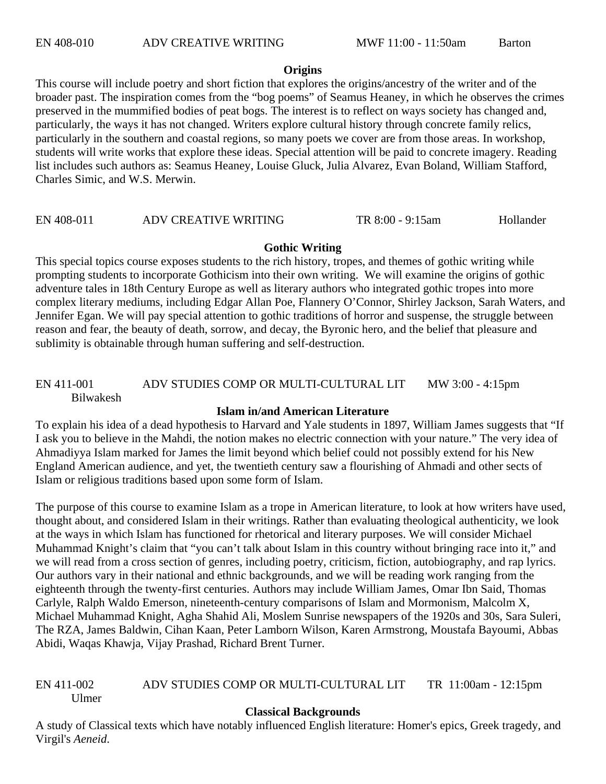#### **Origins**

This course will include poetry and short fiction that explores the origins/ancestry of the writer and of the broader past. The inspiration comes from the "bog poems" of Seamus Heaney, in which he observes the crimes preserved in the mummified bodies of peat bogs. The interest is to reflect on ways society has changed and, particularly, the ways it has not changed. Writers explore cultural history through concrete family relics, particularly in the southern and coastal regions, so many poets we cover are from those areas. In workshop, students will write works that explore these ideas. Special attention will be paid to concrete imagery. Reading list includes such authors as: Seamus Heaney, Louise Gluck, Julia Alvarez, Evan Boland, William Stafford, Charles Simic, and W.S. Merwin.

#### EN 408-011 ADV CREATIVE WRITING TR 8:00 - 9:15am Hollander

#### **Gothic Writing**

This special topics course exposes students to the rich history, tropes, and themes of gothic writing while prompting students to incorporate Gothicism into their own writing. We will examine the origins of gothic adventure tales in 18th Century Europe as well as literary authors who integrated gothic tropes into more complex literary mediums, including Edgar Allan Poe, Flannery O'Connor, Shirley Jackson, Sarah Waters, and Jennifer Egan. We will pay special attention to gothic traditions of horror and suspense, the struggle between reason and fear, the beauty of death, sorrow, and decay, the Byronic hero, and the belief that pleasure and sublimity is obtainable through human suffering and self-destruction.

#### EN 411-001 ADV STUDIES COMP OR MULTI-CULTURAL LIT MW 3:00 - 4:15pm Bilwakesh

#### **Islam in/and American Literature**

To explain his idea of a dead hypothesis to Harvard and Yale students in 1897, William James suggests that "If I ask you to believe in the Mahdi, the notion makes no electric connection with your nature." The very idea of Ahmadiyya Islam marked for James the limit beyond which belief could not possibly extend for his New England American audience, and yet, the twentieth century saw a flourishing of Ahmadi and other sects of Islam or religious traditions based upon some form of Islam.

The purpose of this course to examine Islam as a trope in American literature, to look at how writers have used, thought about, and considered Islam in their writings. Rather than evaluating theological authenticity, we look at the ways in which Islam has functioned for rhetorical and literary purposes. We will consider Michael Muhammad Knight's claim that "you can't talk about Islam in this country without bringing race into it," and we will read from a cross section of genres, including poetry, criticism, fiction, autobiography, and rap lyrics. Our authors vary in their national and ethnic backgrounds, and we will be reading work ranging from the eighteenth through the twenty-first centuries. Authors may include William James, Omar Ibn Said, Thomas Carlyle, Ralph Waldo Emerson, nineteenth-century comparisons of Islam and Mormonism, Malcolm X, Michael Muhammad Knight, Agha Shahid Ali, Moslem Sunrise newspapers of the 1920s and 30s, Sara Suleri, The RZA, James Baldwin, Cihan Kaan, Peter Lamborn Wilson, Karen Armstrong, Moustafa Bayoumi, Abbas Abidi, Waqas Khawja, Vijay Prashad, Richard Brent Turner.

#### EN 411-002 ADV STUDIES COMP OR MULTI-CULTURAL LIT TR 11:00am - 12:15pm Ulmer

#### **Classical Backgrounds**

A study of Classical texts which have notably influenced English literature: Homer's epics, Greek tragedy, and Virgil's *Aeneid*.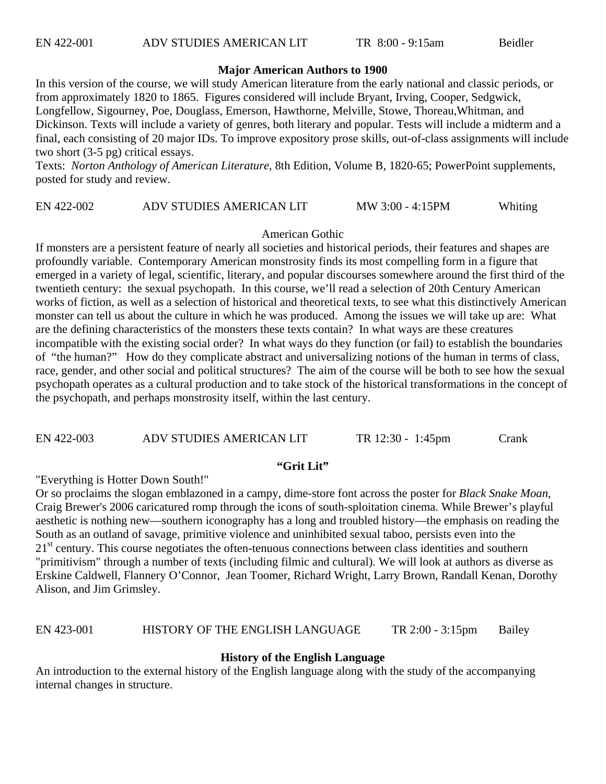#### **Major American Authors to 1900**

In this version of the course, we will study American literature from the early national and classic periods, or from approximately 1820 to 1865. Figures considered will include Bryant, Irving, Cooper, Sedgwick, Longfellow, Sigourney, Poe, Douglass, Emerson, Hawthorne, Melville, Stowe, Thoreau,Whitman, and Dickinson. Texts will include a variety of genres, both literary and popular. Tests will include a midterm and a final, each consisting of 20 major IDs. To improve expository prose skills, out-of-class assignments will include two short (3-5 pg) critical essays.

Texts: *Norton Anthology of American Literature*, 8th Edition, Volume B, 1820-65; PowerPoint supplements, posted for study and review.

#### EN 422-002 ADV STUDIES AMERICAN LIT MW 3:00 - 4:15PM Whiting

#### American Gothic

If monsters are a persistent feature of nearly all societies and historical periods, their features and shapes are profoundly variable. Contemporary American monstrosity finds its most compelling form in a figure that emerged in a variety of legal, scientific, literary, and popular discourses somewhere around the first third of the twentieth century: the sexual psychopath. In this course, we'll read a selection of 20th Century American works of fiction, as well as a selection of historical and theoretical texts, to see what this distinctively American monster can tell us about the culture in which he was produced. Among the issues we will take up are: What are the defining characteristics of the monsters these texts contain? In what ways are these creatures incompatible with the existing social order? In what ways do they function (or fail) to establish the boundaries of "the human?" How do they complicate abstract and universalizing notions of the human in terms of class, race, gender, and other social and political structures? The aim of the course will be both to see how the sexual psychopath operates as a cultural production and to take stock of the historical transformations in the concept of the psychopath, and perhaps monstrosity itself, within the last century.

EN 422-003 ADV STUDIES AMERICAN LIT TR 12:30 - 1:45pm Crank

#### **"Grit Lit"**

"Everything is Hotter Down South!"

Or so proclaims the slogan emblazoned in a campy, dime-store font across the poster for *Black Snake Moan*, Craig Brewer's 2006 caricatured romp through the icons of south-sploitation cinema. While Brewer's playful aesthetic is nothing new—southern iconography has a long and troubled history—the emphasis on reading the South as an outland of savage, primitive violence and uninhibited sexual taboo, persists even into the 21<sup>st</sup> century. This course negotiates the often-tenuous connections between class identities and southern "primitivism" through a number of texts (including filmic and cultural). We will look at authors as diverse as Erskine Caldwell, Flannery O'Connor, Jean Toomer, Richard Wright, Larry Brown, Randall Kenan, Dorothy Alison, and Jim Grimsley.

#### EN 423-001 HISTORY OF THE ENGLISH LANGUAGE TR 2:00 - 3:15pm Bailey

#### **History of the English Language**

An introduction to the external history of the English language along with the study of the accompanying internal changes in structure.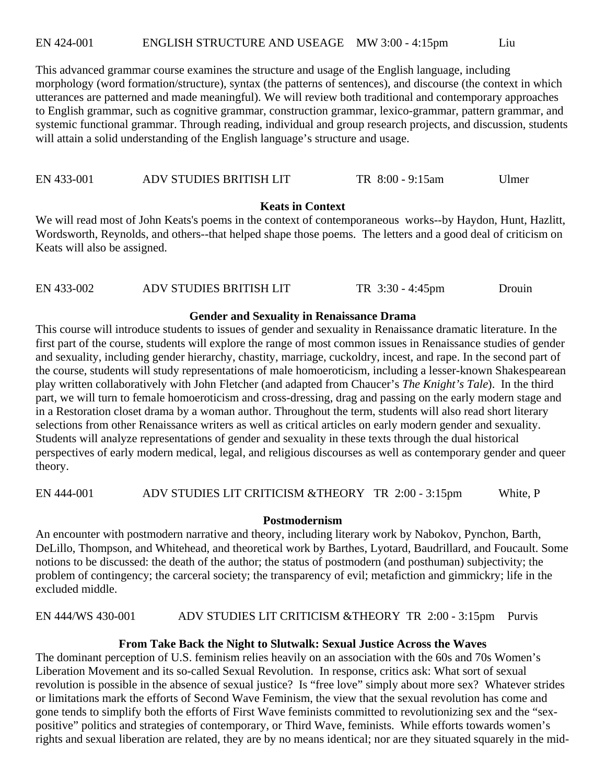EN 424-001 ENGLISH STRUCTURE AND USEAGE MW 3:00 - 4:15pm Liu

This advanced grammar course examines the structure and usage of the English language, including morphology (word formation/structure), syntax (the patterns of sentences), and discourse (the context in which utterances are patterned and made meaningful). We will review both traditional and contemporary approaches to English grammar, such as cognitive grammar, construction grammar, lexico-grammar, pattern grammar, and systemic functional grammar. Through reading, individual and group research projects, and discussion, students will attain a solid understanding of the English language's structure and usage.

EN 433-001 ADV STUDIES BRITISH LIT TR 8:00 - 9:15am Ulmer

#### **Keats in Context**

We will read most of John Keats's poems in the context of contemporaneous works--by Haydon, Hunt, Hazlitt, Wordsworth, Reynolds, and others--that helped shape those poems. The letters and a good deal of criticism on Keats will also be assigned.

| EN 433-002<br>ADV STUDIES BRITISH LIT<br>TR $3:30 - 4:45$ pm<br>Drouin |
|------------------------------------------------------------------------|
|------------------------------------------------------------------------|

#### **Gender and Sexuality in Renaissance Drama**

This course will introduce students to issues of gender and sexuality in Renaissance dramatic literature. In the first part of the course, students will explore the range of most common issues in Renaissance studies of gender and sexuality, including gender hierarchy, chastity, marriage, cuckoldry, incest, and rape. In the second part of the course, students will study representations of male homoeroticism, including a lesser-known Shakespearean play written collaboratively with John Fletcher (and adapted from Chaucer's *The Knight's Tale*). In the third part, we will turn to female homoeroticism and cross-dressing, drag and passing on the early modern stage and in a Restoration closet drama by a woman author. Throughout the term, students will also read short literary selections from other Renaissance writers as well as critical articles on early modern gender and sexuality. Students will analyze representations of gender and sexuality in these texts through the dual historical perspectives of early modern medical, legal, and religious discourses as well as contemporary gender and queer theory.

EN 444-001 ADV STUDIES LIT CRITICISM &THEORY TR 2:00 - 3:15pm White, P

#### **Postmodernism**

An encounter with postmodern narrative and theory, including literary work by Nabokov, Pynchon, Barth, DeLillo, Thompson, and Whitehead, and theoretical work by Barthes, Lyotard, Baudrillard, and Foucault. Some notions to be discussed: the death of the author; the status of postmodern (and posthuman) subjectivity; the problem of contingency; the carceral society; the transparency of evil; metafiction and gimmickry; life in the excluded middle.

EN 444/WS 430-001 ADV STUDIES LIT CRITICISM &THEORY TR 2:00 - 3:15pm Purvis

#### **From Take Back the Night to Slutwalk: Sexual Justice Across the Waves**

The dominant perception of U.S. feminism relies heavily on an association with the 60s and 70s Women's Liberation Movement and its so-called Sexual Revolution. In response, critics ask: What sort of sexual revolution is possible in the absence of sexual justice? Is "free love" simply about more sex? Whatever strides or limitations mark the efforts of Second Wave Feminism, the view that the sexual revolution has come and gone tends to simplify both the efforts of First Wave feminists committed to revolutionizing sex and the "sexpositive" politics and strategies of contemporary, or Third Wave, feminists. While efforts towards women's rights and sexual liberation are related, they are by no means identical; nor are they situated squarely in the mid-